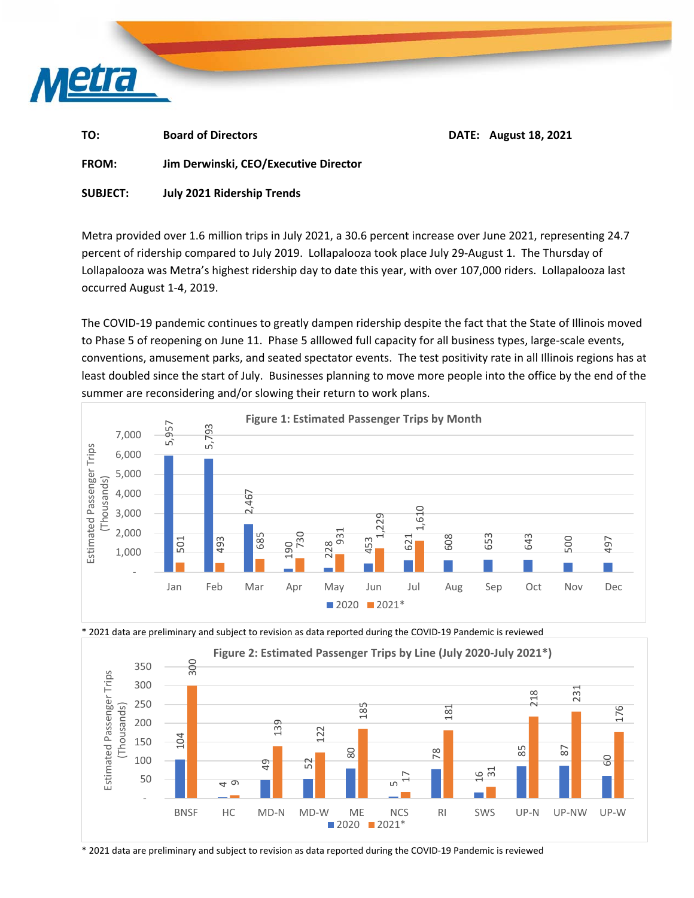

TO: Board of Directors  **Board of Directors** BOSE BOATE: August 18, 2021

**FROM: Jim Derwinski, CEO/Executive Director** 

**SUBJECT: July 2021 Ridership Trends** 

Metra provided over 1.6 million trips in July 2021, a 30.6 percent increase over June 2021, representing 24.7 percent of ridership compared to July 2019. Lollapalooza took place July 29‐August 1. The Thursday of Lollapalooza was Metra's highest ridership day to date this year, with over 107,000 riders. Lollapalooza last occurred August 1‐4, 2019.

The COVID‐19 pandemic continues to greatly dampen ridership despite the fact that the State of Illinois moved to Phase 5 of reopening on June 11. Phase 5 alllowed full capacity for all business types, large-scale events, conventions, amusement parks, and seated spectator events. The test positivity rate in all Illinois regions has at least doubled since the start of July. Businesses planning to move more people into the office by the end of the summer are reconsidering and/or slowing their return to work plans.





\* 2021 data are preliminary and subject to revision as data reported during the COVID‐19 Pandemic is reviewed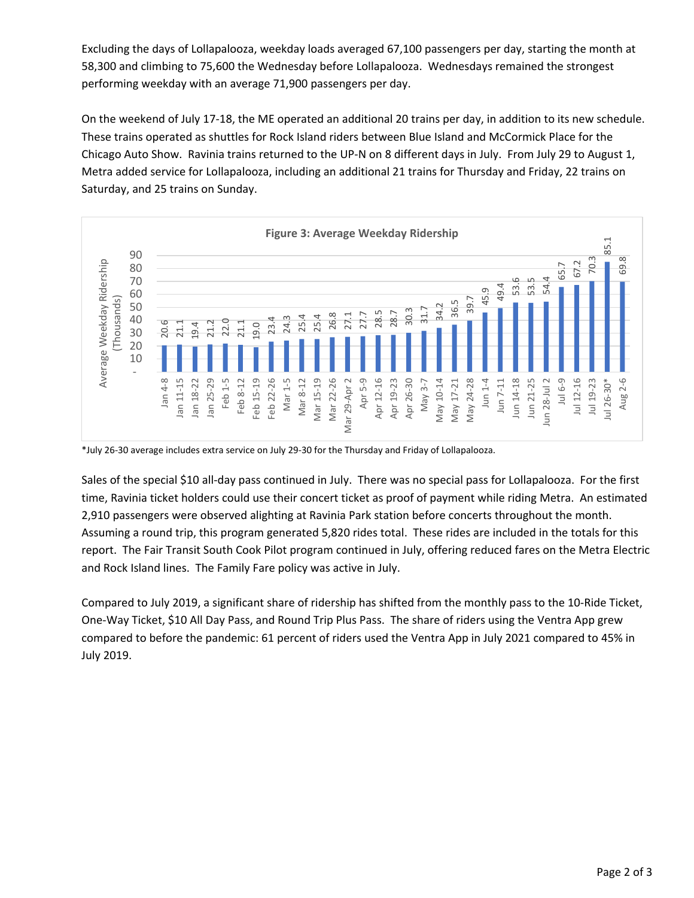Excluding the days of Lollapalooza, weekday loads averaged 67,100 passengers per day, starting the month at 58,300 and climbing to 75,600 the Wednesday before Lollapalooza. Wednesdays remained the strongest performing weekday with an average 71,900 passengers per day.

On the weekend of July 17‐18, the ME operated an additional 20 trains per day, in addition to its new schedule. These trains operated as shuttles for Rock Island riders between Blue Island and McCormick Place for the Chicago Auto Show. Ravinia trains returned to the UP‐N on 8 different days in July. From July 29 to August 1, Metra added service for Lollapalooza, including an additional 21 trains for Thursday and Friday, 22 trains on Saturday, and 25 trains on Sunday.



\*July 26‐30 average includes extra service on July 29‐30 for the Thursday and Friday of Lollapalooza.

Sales of the special \$10 all‐day pass continued in July. There was no special pass for Lollapalooza. For the first time, Ravinia ticket holders could use their concert ticket as proof of payment while riding Metra. An estimated 2,910 passengers were observed alighting at Ravinia Park station before concerts throughout the month. Assuming a round trip, this program generated 5,820 rides total. These rides are included in the totals for this report. The Fair Transit South Cook Pilot program continued in July, offering reduced fares on the Metra Electric and Rock Island lines. The Family Fare policy was active in July.

Compared to July 2019, a significant share of ridership has shifted from the monthly pass to the 10‐Ride Ticket, One‐Way Ticket, \$10 All Day Pass, and Round Trip Plus Pass. The share of riders using the Ventra App grew compared to before the pandemic: 61 percent of riders used the Ventra App in July 2021 compared to 45% in July 2019.